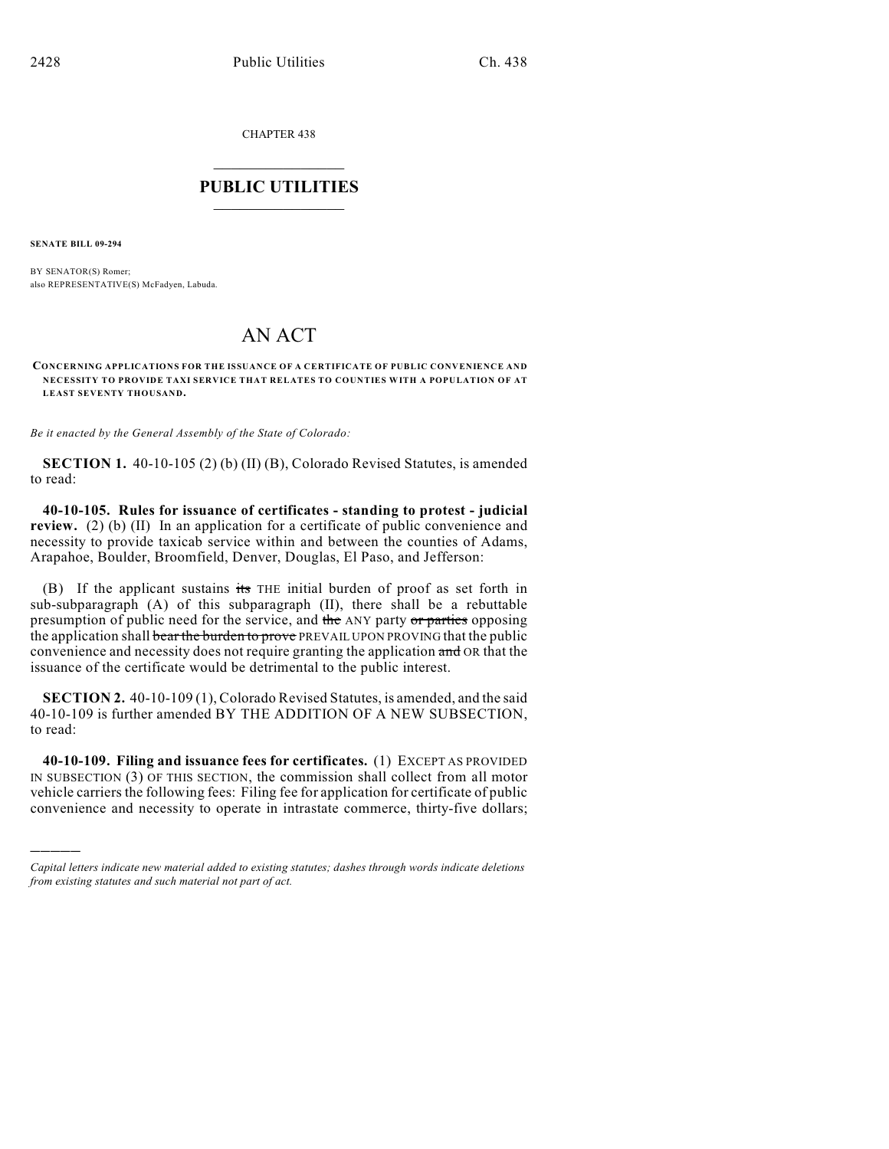CHAPTER 438

## $\overline{\phantom{a}}$  . The set of the set of the set of the set of the set of the set of the set of the set of the set of the set of the set of the set of the set of the set of the set of the set of the set of the set of the set o **PUBLIC UTILITIES** \_\_\_\_\_\_\_\_\_\_\_\_\_\_\_

**SENATE BILL 09-294**

)))))

BY SENATOR(S) Romer; also REPRESENTATIVE(S) McFadyen, Labuda.

## AN ACT

**CONCERNING APPLICATIONS FOR THE ISSUANCE OF A CERTIFICATE OF PUBLIC CONVENIENCE AND NECESSITY TO PROVIDE TAXI SERVICE THAT RELATES TO COUNTIES WITH A POPULATION OF AT LEAST SEVENTY THOUSAND.**

*Be it enacted by the General Assembly of the State of Colorado:*

**SECTION 1.** 40-10-105 (2) (b) (II) (B), Colorado Revised Statutes, is amended to read:

**40-10-105. Rules for issuance of certificates - standing to protest - judicial review.** (2) (b) (II) In an application for a certificate of public convenience and necessity to provide taxicab service within and between the counties of Adams, Arapahoe, Boulder, Broomfield, Denver, Douglas, El Paso, and Jefferson:

(B) If the applicant sustains its THE initial burden of proof as set forth in sub-subparagraph (A) of this subparagraph (II), there shall be a rebuttable presumption of public need for the service, and the ANY party or parties opposing the application shall bear the burden to prove PREVAIL UPON PROVING that the public convenience and necessity does not require granting the application and OR that the issuance of the certificate would be detrimental to the public interest.

**SECTION 2.** 40-10-109 (1), Colorado Revised Statutes, is amended, and the said 40-10-109 is further amended BY THE ADDITION OF A NEW SUBSECTION, to read:

**40-10-109. Filing and issuance fees for certificates.** (1) EXCEPT AS PROVIDED IN SUBSECTION (3) OF THIS SECTION, the commission shall collect from all motor vehicle carriers the following fees: Filing fee for application for certificate of public convenience and necessity to operate in intrastate commerce, thirty-five dollars;

*Capital letters indicate new material added to existing statutes; dashes through words indicate deletions from existing statutes and such material not part of act.*